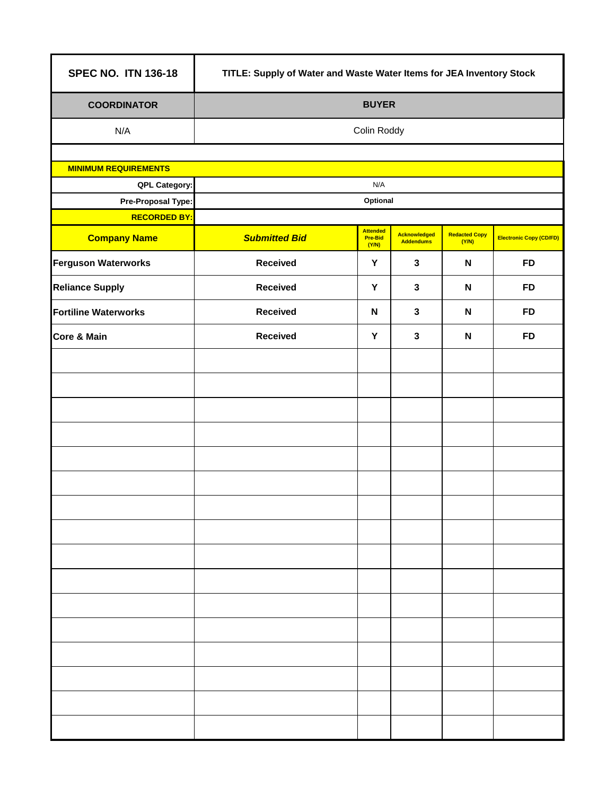| <b>SPEC NO. ITN 136-18</b>  | TITLE: Supply of Water and Waste Water Items for JEA Inventory Stock |                                            |                                         |                               |                                |  |  |
|-----------------------------|----------------------------------------------------------------------|--------------------------------------------|-----------------------------------------|-------------------------------|--------------------------------|--|--|
| <b>COORDINATOR</b>          | <b>BUYER</b>                                                         |                                            |                                         |                               |                                |  |  |
| N/A                         | Colin Roddy                                                          |                                            |                                         |                               |                                |  |  |
|                             |                                                                      |                                            |                                         |                               |                                |  |  |
| <b>MINIMUM REQUIREMENTS</b> |                                                                      |                                            |                                         |                               |                                |  |  |
| QPL Category:               | N/A                                                                  |                                            |                                         |                               |                                |  |  |
| Pre-Proposal Type:          | Optional                                                             |                                            |                                         |                               |                                |  |  |
| <b>RECORDED BY:</b>         |                                                                      |                                            |                                         |                               |                                |  |  |
| <b>Company Name</b>         | <b>Submitted Bid</b>                                                 | <b>Attended</b><br><b>Pre-Bid</b><br>(Y/N) | <b>Acknowledged</b><br><b>Addendums</b> | <b>Redacted Copy</b><br>(Y/N) | <b>Electronic Copy (CD/FD)</b> |  |  |
| <b>Ferguson Waterworks</b>  | <b>Received</b>                                                      | Y                                          | $\mathbf{3}$                            | N                             | <b>FD</b>                      |  |  |
| <b>Reliance Supply</b>      | <b>Received</b>                                                      | Y                                          | $\mathbf{3}$                            | $\mathsf{N}$                  | <b>FD</b>                      |  |  |
| <b>Fortiline Waterworks</b> | <b>Received</b>                                                      | ${\sf N}$                                  | $\mathbf{3}$                            | N                             | <b>FD</b>                      |  |  |
| <b>Core &amp; Main</b>      | <b>Received</b>                                                      | Y                                          | $\mathbf{3}$                            | $\mathbf N$                   | <b>FD</b>                      |  |  |
|                             |                                                                      |                                            |                                         |                               |                                |  |  |
|                             |                                                                      |                                            |                                         |                               |                                |  |  |
|                             |                                                                      |                                            |                                         |                               |                                |  |  |
|                             |                                                                      |                                            |                                         |                               |                                |  |  |
|                             |                                                                      |                                            |                                         |                               |                                |  |  |
|                             |                                                                      |                                            |                                         |                               |                                |  |  |
|                             |                                                                      |                                            |                                         |                               |                                |  |  |
|                             |                                                                      |                                            |                                         |                               |                                |  |  |
|                             |                                                                      |                                            |                                         |                               |                                |  |  |
|                             |                                                                      |                                            |                                         |                               |                                |  |  |
|                             |                                                                      |                                            |                                         |                               |                                |  |  |
|                             |                                                                      |                                            |                                         |                               |                                |  |  |
|                             |                                                                      |                                            |                                         |                               |                                |  |  |
|                             |                                                                      |                                            |                                         |                               |                                |  |  |
|                             |                                                                      |                                            |                                         |                               |                                |  |  |
|                             |                                                                      |                                            |                                         |                               |                                |  |  |